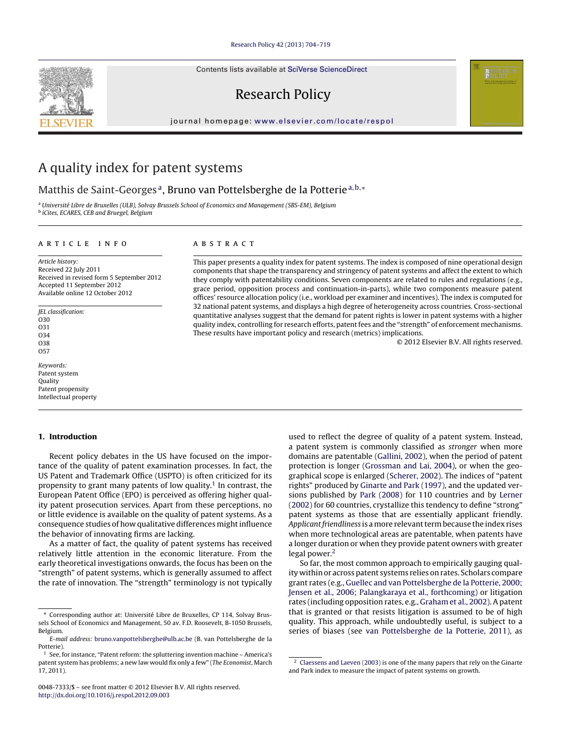Contents lists available at SciVerse [ScienceDirect](http://www.sciencedirect.com/science/journal/00487333)

# Research Policy

iournal homepage: [www.elsevier.com/locate/respol](http://www.elsevier.com/locate/respol)

## A quality index for patent systems

## Matthis de Saint-Georges<sup>a</sup>, Bruno van Pottelsberghe de la Potterie<sup>a, b,∗</sup>

a Université Libre de Bruxelles (ULB), Solvay Brussels School of Economics and Management (SBS-EM), Belgium <sup>b</sup> iCites, ECARES, CEB and Bruegel, Belgium

#### a r t i c l e i n f o

Article history: Received 22 July 2011 Received in revised form 5 September 2012 Accepted 11 September 2012 Available online 12 October 2012

JEL classification: O30 O31 O34 O38 O57

Keywords: Patent system Quality Patent propensity Intellectual property

### A B S T R A C T

This paper presents a quality index for patent systems. The index is composed of nine operational design components that shape the transparency and stringency of patent systems and affect the extent to which they comply with patentability conditions. Seven components are related to rules and regulations (e.g., grace period, opposition process and continuation-in-parts), while two components measure patent offices' resource allocation policy (i.e., workload per examiner and incentives). The index is computed for 32 national patent systems, and displays a high degree of heterogeneity across countries. Cross-sectional quantitative analyses suggest that the demand for patent rights is lower in patent systems with a higher quality index, controlling for research efforts, patentfees and the "strength" of enforcement mechanisms. These results have important policy and research (metrics) implications.

© 2012 Elsevier B.V. All rights reserved.

#### **1. Introduction**

Recent policy debates in the US have focused on the importance of the quality of patent examination processes. In fact, the US Patent and Trademark Office (USPTO) is often criticized for its propensity to grant many patents of low quality.1 In contrast, the European Patent Office (EPO) is perceived as offering higher quality patent prosecution services. Apart from these perceptions, no or little evidence is available on the quality of patent systems. As a consequence studies of how qualitative differences might influence the behavior of innovating firms are lacking.

As a matter of fact, the quality of patent systems has received relatively little attention in the economic literature. From the early theoretical investigations onwards, the focus has been on the "strength" of patent systems, which is generally assumed to affect the rate of innovation. The "strength" terminology is not typically used to reflect the degree of quality of a patent system. Instead, a patent system is commonly classified as stronger when more domains are patentable ([Gallini,](#page--1-0) [2002\),](#page--1-0) when the period of patent protection is longer ([Grossman](#page--1-0) [and](#page--1-0) [Lai,](#page--1-0) [2004\),](#page--1-0) or when the geographical scope is enlarged ([Scherer,](#page--1-0) [2002\).](#page--1-0) The indices of "patent rights" produced by [Ginarte](#page--1-0) [and](#page--1-0) [Park](#page--1-0) [\(1997\),](#page--1-0) and the updated versions published by [Park](#page--1-0) [\(2008\)](#page--1-0) for 110 countries and by [Lerner](#page--1-0) [\(2002\)](#page--1-0) for 60 countries, crystallize this tendency to define "strong" patent systems as those that are essentially applicant friendly. Applicant friendliness is a more relevant term because the index rises when more technological areas are patentable, when patents have a longer duration or when they provide patent owners with greater legal power.<sup>2</sup>

So far, the most common approach to empirically gauging quality within or across patent systems relies on rates. Scholars compare grant rates (e.g., [Guellec](#page--1-0) [and](#page--1-0) [van](#page--1-0) [Pottelsberghe](#page--1-0) [de](#page--1-0) [la](#page--1-0) [Potterie,](#page--1-0) [2000;](#page--1-0) [Jensen](#page--1-0) et [al.,](#page--1-0) [2006;](#page--1-0) [Palangkaraya](#page--1-0) et [al.,](#page--1-0) [forthcoming\)](#page--1-0) or litigation rates (including opposition rates, e.g., [Graham](#page--1-0) et [al.,](#page--1-0) [2002\).](#page--1-0) A patent that is granted or that resists litigation is assumed to be of high quality. This approach, while undoubtedly useful, is subject to a series of biases (see [van](#page--1-0) [Pottelsberghe](#page--1-0) [de](#page--1-0) [la](#page--1-0) [Potterie,](#page--1-0) [2011\),](#page--1-0) as



<sup>∗</sup> Corresponding author at: Université Libre de Bruxelles, CP 114, Solvay Brussels School of Economics and Management, 50 av. F.D. Roosevelt, B-1050 Brussels, Belgium.

E-mail address: [bruno.vanpottelsberghe@ulb.ac.be](mailto:bruno.vanpottelsberghe@ulb.ac.be) (B. van Pottelsberghe de la Potterie).

 $1$  See, for instance, "Patent reform: the spluttering invention machine – America's patent system has problems; a new law would fix only a few" (The Economist, March 17, 2011).

 $2$  [Claessens](#page--1-0) [and](#page--1-0) [Laeven](#page--1-0) [\(2003\)](#page--1-0) is one of the many papers that rely on the Ginarte and Park index to measure the impact of patent systems on growth.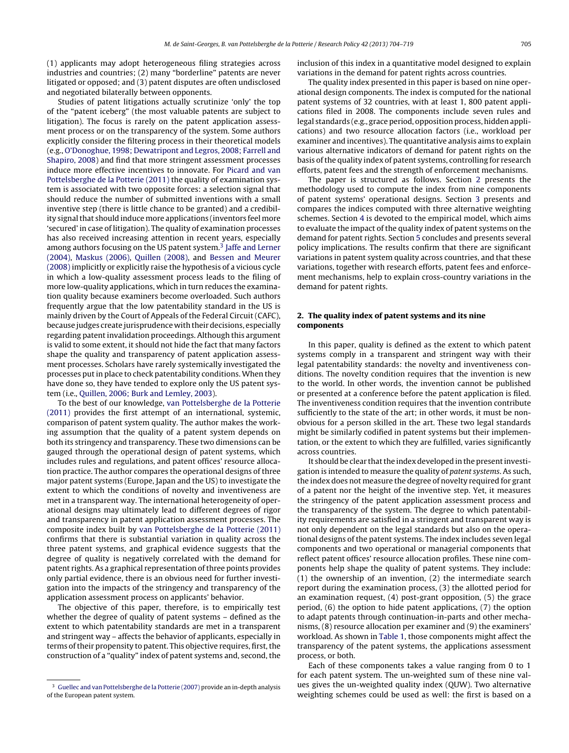(1) applicants may adopt heterogeneous filing strategies across industries and countries; (2) many "borderline" patents are never litigated or opposed; and (3) patent disputes are often undisclosed and negotiated bilaterally between opponents.

Studies of patent litigations actually scrutinize 'only' the top of the "patent iceberg" (the most valuable patents are subject to litigation). The focus is rarely on the patent application assessment process or on the transparency of the system. Some authors explicitly consider the filtering process in their theoretical models (e.g., [O'Donoghue,](#page--1-0) [1998;](#page--1-0) [Dewatripont](#page--1-0) [and](#page--1-0) [Legros,](#page--1-0) [2008;](#page--1-0) [Farrell](#page--1-0) [and](#page--1-0) [Shapiro,](#page--1-0) [2008\)](#page--1-0) and find that more stringent assessment processes induce more effective incentives to innovate. For [Picard](#page--1-0) [and](#page--1-0) [van](#page--1-0) [Pottelsberghe](#page--1-0) [de](#page--1-0) [la](#page--1-0) [Potterie](#page--1-0) [\(2011\)](#page--1-0) the quality of examination system is associated with two opposite forces: a selection signal that should reduce the number of submitted inventions with a small inventive step (there is little chance to be granted) and a credibility signal that should induce more applications (inventors feel more 'secured' in case of litigation). The quality of examination processes has also received increasing attention in recent years, especially among authors focusing on the US patent system.<sup>3</sup> [Jaffe](#page--1-0) [and](#page--1-0) [Lerner](#page--1-0) [\(2004\),](#page--1-0) [Maskus](#page--1-0) [\(2006\),](#page--1-0) [Quillen](#page--1-0) [\(2008\),](#page--1-0) and [Bessen](#page--1-0) [and](#page--1-0) [Meurer](#page--1-0) [\(2008\)](#page--1-0) implicitly or explicitly raise the hypothesis of a vicious cycle in which a low-quality assessment process leads to the filing of more low-quality applications, which in turn reduces the examination quality because examiners become overloaded. Such authors frequently argue that the low patentability standard in the US is mainly driven by the Court of Appeals of the Federal Circuit (CAFC), because judges create jurisprudence with their decisions, especially regarding patentinvalidation proceedings. Although this argument is valid to some extent, it should not hide the fact that many factors shape the quality and transparency of patent application assessment processes. Scholars have rarely systemically investigated the processes put in place to check patentability conditions. When they have done so, they have tended to explore only the US patent system (i.e., [Quillen,](#page--1-0) [2006;](#page--1-0) [Burk](#page--1-0) [and](#page--1-0) [Lemley,](#page--1-0) [2003\).](#page--1-0)

To the best of our knowledge, [van](#page--1-0) [Pottelsberghe](#page--1-0) [de](#page--1-0) [la](#page--1-0) [Potterie](#page--1-0) [\(2011\)](#page--1-0) provides the first attempt of an international, systemic, comparison of patent system quality. The author makes the working assumption that the quality of a patent system depends on both its stringency and transparency. These two dimensions can be gauged through the operational design of patent systems, which includes rules and regulations, and patent offices' resource allocation practice. The author compares the operational designs of three major patent systems (Europe, Japan and the US) to investigate the extent to which the conditions of novelty and inventiveness are met in a transparent way. The international heterogeneity of operational designs may ultimately lead to different degrees of rigor and transparency in patent application assessment processes. The composite index built by [van](#page--1-0) [Pottelsberghe](#page--1-0) [de](#page--1-0) [la](#page--1-0) [Potterie](#page--1-0) [\(2011\)](#page--1-0) confirms that there is substantial variation in quality across the three patent systems, and graphical evidence suggests that the degree of quality is negatively correlated with the demand for patent rights. As a graphical representation of three points provides only partial evidence, there is an obvious need for further investigation into the impacts of the stringency and transparency of the application assessment process on applicants' behavior.

The objective of this paper, therefore, is to empirically test whether the degree of quality of patent systems – defined as the extent to which patentability standards are met in a transparent and stringent way – affects the behavior of applicants, especially in terms of their propensity to patent. This objective requires, first, the construction of a "quality" index of patent systems and, second, the inclusion of this index in a quantitative model designed to explain variations in the demand for patent rights across countries.

The quality index presented in this paper is based on nine operational design components. The index is computed for the national patent systems of 32 countries, with at least 1, 800 patent applications filed in 2008. The components include seven rules and legal standards (e.g., grace period, opposition process, hidden applications) and two resource allocation factors (i.e., workload per examiner and incentives). The quantitative analysis aims to explain various alternative indicators of demand for patent rights on the basis ofthe quality index of patent systems, controlling for research efforts, patent fees and the strength of enforcement mechanisms.

The paper is structured as follows. Section 2 presents the methodology used to compute the index from nine components of patent systems' operational designs. Section [3](#page--1-0) presents and compares the indices computed with three alternative weighting schemes. Section [4](#page--1-0) is devoted to the empirical model, which aims to evaluate the impact of the quality index of patent systems on the demand for patent rights. Section [5](#page--1-0) concludes and presents several policy implications. The results confirm that there are significant variations in patent system quality across countries, and that these variations, together with research efforts, patent fees and enforcement mechanisms, help to explain cross-country variations in the demand for patent rights.

### **2. The quality index of patent systems and its nine components**

In this paper, quality is defined as the extent to which patent systems comply in a transparent and stringent way with their legal patentability standards: the novelty and inventiveness conditions. The novelty condition requires that the invention is new to the world. In other words, the invention cannot be published or presented at a conference before the patent application is filed. The inventiveness condition requires that the invention contribute sufficiently to the state of the art; in other words, it must be nonobvious for a person skilled in the art. These two legal standards might be similarly codified in patent systems but their implementation, or the extent to which they are fulfilled, varies significantly across countries.

It should be clear that the index developed in the present investigation is intended to measure the quality of patent systems. As such, the index does not measure the degree of novelty required for grant of a patent nor the height of the inventive step. Yet, it measures the stringency of the patent application assessment process and the transparency of the system. The degree to which patentability requirements are satisfied in a stringent and transparent way is not only dependent on the legal standards but also on the operational designs of the patent systems. The index includes seven legal components and two operational or managerial components that reflect patent offices' resource allocation profiles. These nine components help shape the quality of patent systems. They include: (1) the ownership of an invention, (2) the intermediate search report during the examination process, (3) the allotted period for an examination request, (4) post-grant opposition, (5) the grace period, (6) the option to hide patent applications, (7) the option to adapt patents through continuation-in-parts and other mechanisms, (8) resource allocation per examiner and (9) the examiners' workload. As shown in [Table](#page--1-0) 1, those components might affect the transparency of the patent systems, the applications assessment process, or both.

Each of these components takes a value ranging from 0 to 1 for each patent system. The un-weighted sum of these nine values gives the un-weighted quality index (QUW). Two alternative weighting schemes could be used as well: the first is based on a

<sup>3</sup> [Guellec](#page--1-0) [and](#page--1-0) [van](#page--1-0) [Pottelsberghe](#page--1-0) [de](#page--1-0) [la](#page--1-0) [Potterie](#page--1-0) [\(2007\)](#page--1-0) provide an in-depth analysis of the European patent system.